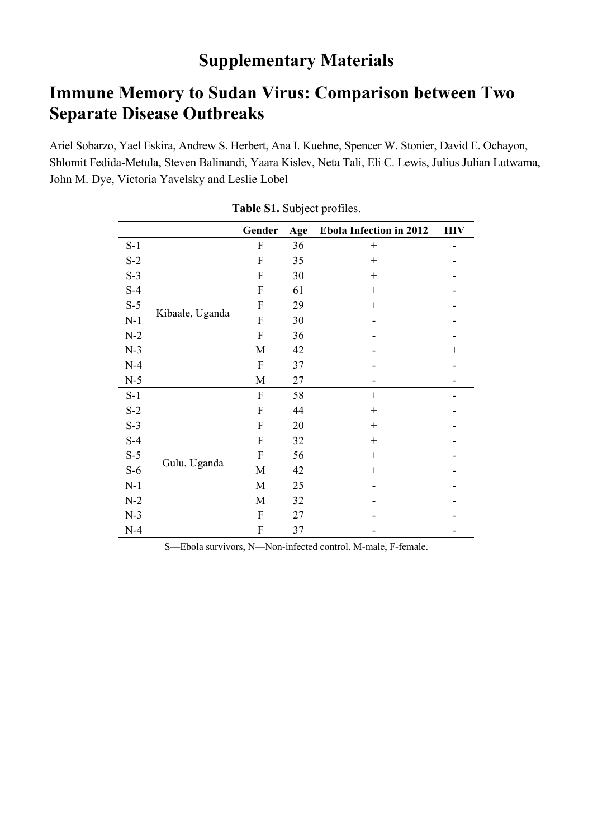## **Supplementary Materials**

## **Immune Memory to Sudan Virus: Comparison between Two Separate Disease Outbreaks**

Ariel Sobarzo, Yael Eskira, Andrew S. Herbert, Ana I. Kuehne, Spencer W. Stonier, David E. Ochayon, Shlomit Fedida-Metula, Steven Balinandi, Yaara Kislev, Neta Tali, Eli C. Lewis, Julius Julian Lutwama, John M. Dye, Victoria Yavelsky and Leslie Lobel

|       |                 | Gender                    | Age | <b>Ebola Infection in 2012</b> | <b>HIV</b> |
|-------|-----------------|---------------------------|-----|--------------------------------|------------|
| $S-1$ |                 | $\boldsymbol{F}$          | 36  |                                |            |
| $S-2$ | Kibaale, Uganda | $\mathbf{F}$              | 35  | $^{+}$                         |            |
| $S-3$ |                 | $\mathbf{F}$              | 30  | $^{+}$                         |            |
| $S-4$ |                 | $\mathbf{F}$              | 61  | $^{+}$                         |            |
| $S-5$ |                 | $\mathbf{F}$              | 29  | $^{+}$                         |            |
| $N-1$ |                 | $\mathbf{F}$              | 30  |                                |            |
| $N-2$ |                 | $\mathbf F$               | 36  |                                |            |
| $N-3$ |                 | M                         | 42  |                                | $^{+}$     |
| $N-4$ |                 | $\boldsymbol{\mathrm{F}}$ | 37  |                                |            |
| $N-5$ |                 | M                         | 27  |                                |            |
| $S-1$ | Gulu, Uganda    | $\mathbf{F}$              | 58  | $^{+}$                         |            |
| $S-2$ |                 | $\mathbf{F}$              | 44  | $^{+}$                         |            |
| $S-3$ |                 | $\mathbf{F}$              | 20  | $^{+}$                         |            |
| $S-4$ |                 | $\mathbf{F}$              | 32  | $^{+}$                         |            |
| $S-5$ |                 | $\mathbf{F}$              | 56  | $^{+}$                         |            |
| $S-6$ |                 | M                         | 42  | $^{+}$                         |            |
| $N-1$ |                 | M                         | 25  |                                |            |
| $N-2$ |                 | M                         | 32  |                                |            |
| $N-3$ |                 | $\mathbf{F}$              | 27  |                                |            |
| $N-4$ |                 | $\boldsymbol{F}$          | 37  |                                |            |

**Table S1.** Subject profiles.

S—Ebola survivors, N—Non-infected control. M-male, F-female.